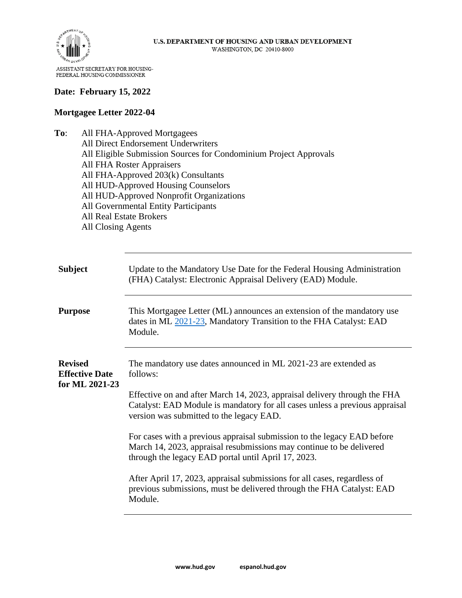

## **Date: February 15, 2022**

## **Mortgagee Letter 2022-04**

**To**: All FHA-Approved Mortgagees All Direct Endorsement Underwriters All Eligible Submission Sources for Condominium Project Approvals All FHA Roster Appraisers All FHA-Approved 203(k) Consultants All HUD-Approved Housing Counselors All HUD-Approved Nonprofit Organizations All Governmental Entity Participants All Real Estate Brokers All Closing Agents

| <b>Subject</b>                                            | Update to the Mandatory Use Date for the Federal Housing Administration<br>(FHA) Catalyst: Electronic Appraisal Delivery (EAD) Module.                                                                 |
|-----------------------------------------------------------|--------------------------------------------------------------------------------------------------------------------------------------------------------------------------------------------------------|
| <b>Purpose</b>                                            | This Mortgagee Letter (ML) announces an extension of the mandatory use<br>dates in ML 2021-23, Mandatory Transition to the FHA Catalyst: EAD<br>Module.                                                |
| <b>Revised</b><br><b>Effective Date</b><br>for ML 2021-23 | The mandatory use dates announced in ML 2021-23 are extended as<br>follows:<br>Effective on and after March 14, 2023, appraisal delivery through the FHA                                               |
|                                                           | Catalyst: EAD Module is mandatory for all cases unless a previous appraisal<br>version was submitted to the legacy EAD.                                                                                |
|                                                           | For cases with a previous appraisal submission to the legacy EAD before<br>March 14, 2023, appraisal resubmissions may continue to be delivered<br>through the legacy EAD portal until April 17, 2023. |
|                                                           | After April 17, 2023, appraisal submissions for all cases, regardless of<br>previous submissions, must be delivered through the FHA Catalyst: EAD<br>Module.                                           |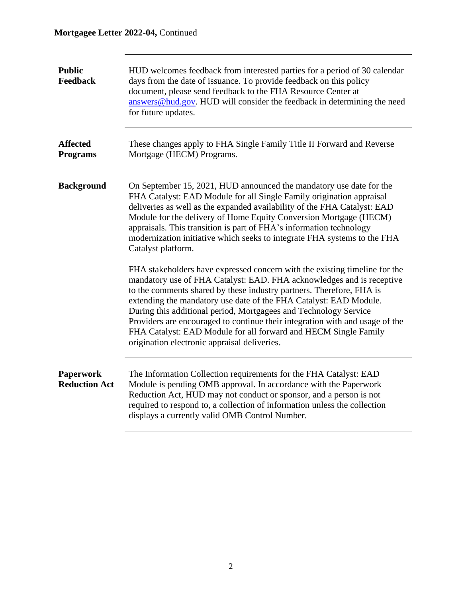## **Mortgagee Letter 2022-04,** Continued

| <b>Public</b><br><b>Feedback</b>         | HUD welcomes feedback from interested parties for a period of 30 calendar<br>days from the date of issuance. To provide feedback on this policy<br>document, please send feedback to the FHA Resource Center at<br>answers@hud.gov. HUD will consider the feedback in determining the need<br>for future updates.                                                                                                                                                                                                                                                       |
|------------------------------------------|-------------------------------------------------------------------------------------------------------------------------------------------------------------------------------------------------------------------------------------------------------------------------------------------------------------------------------------------------------------------------------------------------------------------------------------------------------------------------------------------------------------------------------------------------------------------------|
| <b>Affected</b><br><b>Programs</b>       | These changes apply to FHA Single Family Title II Forward and Reverse<br>Mortgage (HECM) Programs.                                                                                                                                                                                                                                                                                                                                                                                                                                                                      |
| <b>Background</b>                        | On September 15, 2021, HUD announced the mandatory use date for the<br>FHA Catalyst: EAD Module for all Single Family origination appraisal<br>deliveries as well as the expanded availability of the FHA Catalyst: EAD<br>Module for the delivery of Home Equity Conversion Mortgage (HECM)<br>appraisals. This transition is part of FHA's information technology<br>modernization initiative which seeks to integrate FHA systems to the FHA<br>Catalyst platform.                                                                                                   |
|                                          | FHA stakeholders have expressed concern with the existing timeline for the<br>mandatory use of FHA Catalyst: EAD. FHA acknowledges and is receptive<br>to the comments shared by these industry partners. Therefore, FHA is<br>extending the mandatory use date of the FHA Catalyst: EAD Module.<br>During this additional period, Mortgagees and Technology Service<br>Providers are encouraged to continue their integration with and usage of the<br>FHA Catalyst: EAD Module for all forward and HECM Single Family<br>origination electronic appraisal deliveries. |
| <b>Paperwork</b><br><b>Reduction Act</b> | The Information Collection requirements for the FHA Catalyst: EAD<br>Module is pending OMB approval. In accordance with the Paperwork<br>Reduction Act, HUD may not conduct or sponsor, and a person is not<br>required to respond to, a collection of information unless the collection<br>displays a currently valid OMB Control Number.                                                                                                                                                                                                                              |